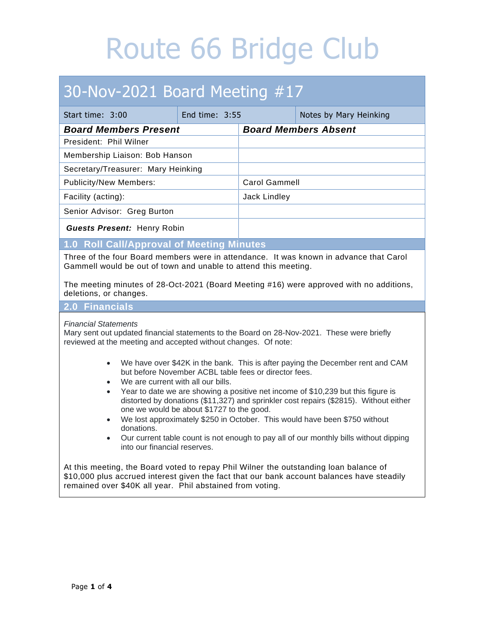## 30-Nov-2021 Board Meeting #17

| Start time: 3:00                   | End time: $3:55$ |                             | Notes by Mary Heinking |
|------------------------------------|------------------|-----------------------------|------------------------|
| <b>Board Members Present</b>       |                  | <b>Board Members Absent</b> |                        |
| President: Phil Wilner             |                  |                             |                        |
| Membership Liaison: Bob Hanson     |                  |                             |                        |
| Secretary/Treasurer: Mary Heinking |                  |                             |                        |
| <b>Publicity/New Members:</b>      |                  | <b>Carol Gammell</b>        |                        |
| Facility (acting):                 |                  | Jack Lindley                |                        |
| Senior Advisor: Greg Burton        |                  |                             |                        |
| <b>Guests Present: Henry Robin</b> |                  |                             |                        |

**1.0 Roll Call/Approval of Meeting Minutes**

Three of the four Board members were in attendance. It was known in advance that Carol Gammell would be out of town and unable to attend this meeting.

The meeting minutes of 28-Oct-2021 (Board Meeting #16) were approved with no additions, deletions, or changes.

### **2.0 Financials**

#### *Financial Statements*

Mary sent out updated financial statements to the Board on 28-Nov-2021. These were briefly reviewed at the meeting and accepted without changes. Of note:

- We have over \$42K in the bank. This is after paying the December rent and CAM but before November ACBL table fees or director fees.
- We are current with all our bills.
- Year to date we are showing a positive net income of \$10,239 but this figure is distorted by donations (\$11,327) and sprinkler cost repairs (\$2815). Without either one we would be about \$1727 to the good.
- We lost approximately \$250 in October. This would have been \$750 without donations.
- Our current table count is not enough to pay all of our monthly bills without dipping into our financial reserves.

At this meeting, the Board voted to repay Phil Wilner the outstanding loan balance of \$10,000 plus accrued interest given the fact that our bank account balances have steadily remained over \$40K all year. Phil abstained from voting.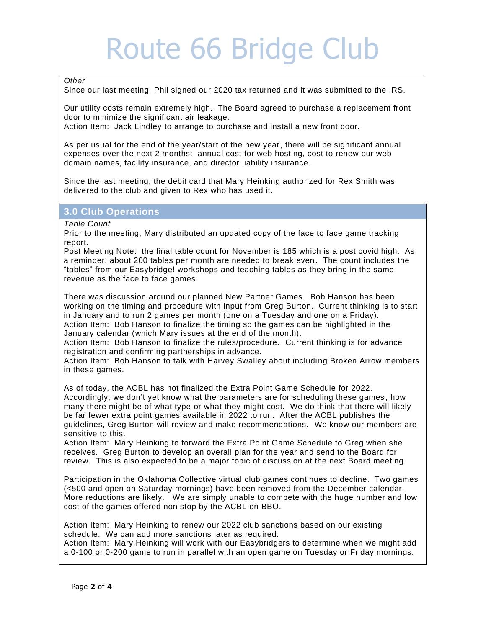#### *Other*

Since our last meeting, Phil signed our 2020 tax returned and it was submitted to the IRS.

Our utility costs remain extremely high. The Board agreed to purchase a replacement front door to minimize the significant air leakage.

Action Item: Jack Lindley to arrange to purchase and install a new front door.

As per usual for the end of the year/start of the new year, there will be significant annual expenses over the next 2 months: annual cost for web hosting, cost to renew our web domain names, facility insurance, and director liability insurance.

Since the last meeting, the debit card that Mary Heinking authorized for Rex Smith was delivered to the club and given to Rex who has used it.

#### **3.0 Club Operations**

*Table Count*

Prior to the meeting, Mary distributed an updated copy of the face to face game tracking report.

Post Meeting Note: the final table count for November is 185 which is a post covid high. As a reminder, about 200 tables per month are needed to break even. The count includes the "tables" from our Easybridge! workshops and teaching tables as they bring in the same revenue as the face to face games.

There was discussion around our planned New Partner Games. Bob Hanson has been working on the timing and procedure with input from Greg Burton. Current thinking is to start in January and to run 2 games per month (one on a Tuesday and one on a Friday). Action Item: Bob Hanson to finalize the timing so the games can be highlighted in the January calendar (which Mary issues at the end of the month).

Action Item: Bob Hanson to finalize the rules/procedure. Current thinking is for advance registration and confirming partnerships in advance.

Action Item: Bob Hanson to talk with Harvey Swalley about including Broken Arrow members in these games.

As of today, the ACBL has not finalized the Extra Point Game Schedule for 2022. Accordingly, we don't yet know what the parameters are for scheduling these games , how many there might be of what type or what they might cost. We do think that there will likely be far fewer extra point games available in 2022 to run. After the ACBL publishes the guidelines, Greg Burton will review and make recommendations. We know our members are sensitive to this.

Action Item: Mary Heinking to forward the Extra Point Game Schedule to Greg when she receives. Greg Burton to develop an overall plan for the year and send to the Board for review. This is also expected to be a major topic of discussion at the next Board meeting.

Participation in the Oklahoma Collective virtual club games continues to decline. Two games (<500 and open on Saturday mornings) have been removed from the December calendar. More reductions are likely. We are simply unable to compete with the huge number and low cost of the games offered non stop by the ACBL on BBO.

Action Item: Mary Heinking to renew our 2022 club sanctions based on our existing schedule. We can add more sanctions later as required.

Action Item: Mary Heinking will work with our Easybridgers to determine when we might add a 0-100 or 0-200 game to run in parallel with an open game on Tuesday or Friday mornings.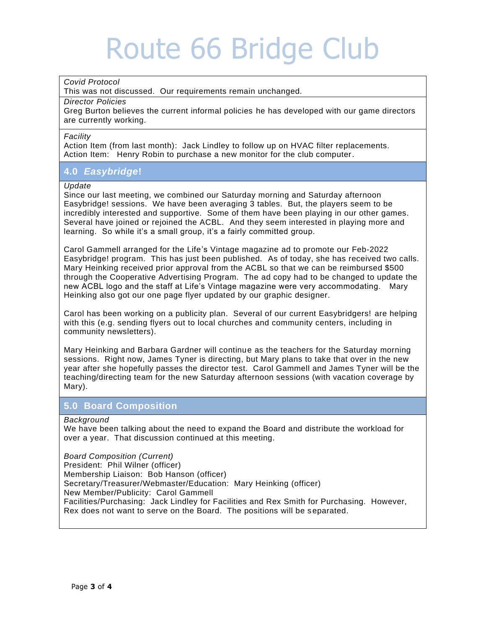#### *Covid Protocol*

This was not discussed. Our requirements remain unchanged.

#### *Director Policies*

Greg Burton believes the current informal policies he has developed with our game directors are currently working.

#### j *Facility*

Action Item (from last month): Jack Lindley to follow up on HVAC filter replacements. Action Item: Henry Robin to purchase a new monitor for the club computer*.* 

### **4.0** *Easybridge***!**

#### *Update*

Since our last meeting, we combined our Saturday morning and Saturday afternoon Easybridge! sessions. We have been averaging 3 tables. But, the players seem to be incredibly interested and supportive. Some of them have been playing in our other games. Several have joined or rejoined the ACBL. And they seem interested in playing more and learning. So while it's a small group, it's a fairly committed group.

Carol Gammell arranged for the Life's Vintage magazine ad to promote our Feb-2022 Easybridge! program. This has just been published. As of today, she has received two calls. Mary Heinking received prior approval from the ACBL so that we can be reimbursed \$500 through the Cooperative Advertising Program. The ad copy had to be changed to update the new ACBL logo and the staff at Life's Vintage magazine were very accommodating. Mary Heinking also got our one page flyer updated by our graphic designer.

Carol has been working on a publicity plan. Several of our current Easybridgers! are helping with this (e.g. sending flyers out to local churches and community centers, including in community newsletters).

Mary Heinking and Barbara Gardner will continue as the teachers for the Saturday morning sessions. Right now, James Tyner is directing, but Mary plans to take that over in the new year after she hopefully passes the director test. Carol Gammell and James Tyner will be the teaching/directing team for the new Saturday afternoon sessions (with vacation coverage by Mary).

### . **5.0 Board Composition**

#### *Background*

We have been talking about the need to expand the Board and distribute the workload for over a year. That discussion continued at this meeting.

*Board Composition (Current)* President: Phil Wilner (officer) Membership Liaison: Bob Hanson (officer) Secretary/Treasurer/Webmaster/Education: Mary Heinking (officer) New Member/Publicity: Carol Gammell Facilities/Purchasing: Jack Lindley for Facilities and Rex Smith for Purchasing. However, Rex does not want to serve on the Board. The positions will be s eparated.